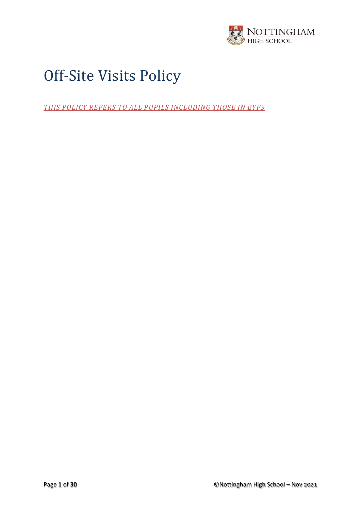

# Off-Site Visits Policy

*THIS POLICY REFERS TO ALL PUPILS INCLUDING THOSE IN EYFS*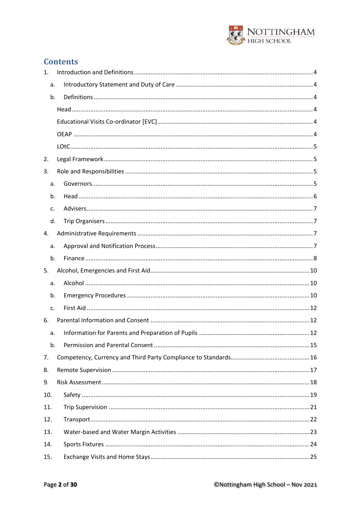

# **Contents**

| 1.  |  |
|-----|--|
| a.  |  |
| b.  |  |
|     |  |
|     |  |
|     |  |
|     |  |
| 2.  |  |
| 3.  |  |
| a.  |  |
| b.  |  |
| c.  |  |
| d.  |  |
| 4.  |  |
| a.  |  |
| b.  |  |
| 5.  |  |
| a.  |  |
| b.  |  |
| c.  |  |
| 6.  |  |
| a.  |  |
| b.  |  |
| 7.  |  |
| 8.  |  |
| 9.  |  |
| 10. |  |
| 11. |  |
| 12. |  |
| 13. |  |
| 14. |  |
| 15. |  |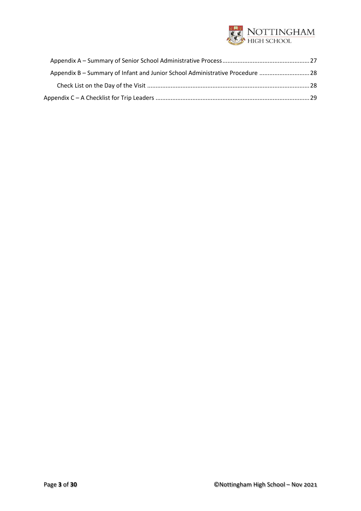

| Appendix B - Summary of Infant and Junior School Administrative Procedure  28 |  |
|-------------------------------------------------------------------------------|--|
|                                                                               |  |
|                                                                               |  |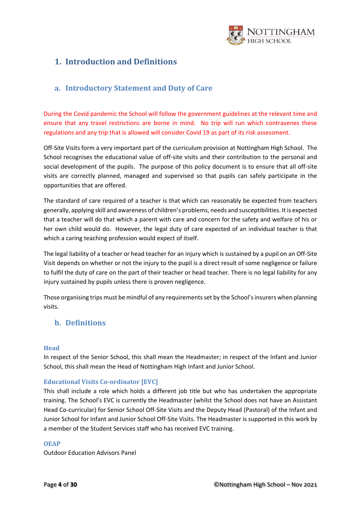

# <span id="page-3-0"></span>**1. Introduction and Definitions**

## <span id="page-3-1"></span>**a. Introductory Statement and Duty of Care**

During the Covid pandemic the School will follow the government guidelines at the relevant time and ensure that any travel restrictions are borne in mind. No trip will run which contravenes these regulations and any trip that is allowed will consider Covid 19 as part of its risk assessment.

Off-Site Visits form a very important part of the curriculum provision at Nottingham High School. The School recognises the educational value of off-site visits and their contribution to the personal and social development of the pupils. The purpose of this policy document is to ensure that all off-site visits are correctly planned, managed and supervised so that pupils can safely participate in the opportunities that are offered.

The standard of care required of a teacher is that which can reasonably be expected from teachers generally, applying skill and awareness of children's problems, needs and susceptibilities. It is expected that a teacher will do that which a parent with care and concern for the safety and welfare of his or her own child would do. However, the legal duty of care expected of an individual teacher is that which a caring teaching profession would expect of itself.

The legal liability of a teacher or head teacher for an injury which is sustained by a pupil on an Off-Site Visit depends on whether or not the injury to the pupil is a direct result of some negligence or failure to fulfil the duty of care on the part of their teacher or head teacher. There is no legal liability for any injury sustained by pupils unless there is proven negligence.

Those organising trips must be mindful of any requirements set by the School's insurers when planning visits.

## <span id="page-3-2"></span>**b. Definitions**

#### <span id="page-3-3"></span>**Head**

In respect of the Senior School, this shall mean the Headmaster; in respect of the Infant and Junior School, this shall mean the Head of Nottingham High Infant and Junior School.

#### <span id="page-3-4"></span>**Educational Visits Co-ordinator [EVC]**

This shall include a role which holds a different job title but who has undertaken the appropriate training. The School's EVC is currently the Headmaster (whilst the School does not have an Assistant Head Co-curricular) for Senior School Off-Site Visits and the Deputy Head (Pastoral) of the Infant and Junior School for Infant and Junior School Off-Site Visits. The Headmaster is supported in this work by a member of the Student Services staff who has received EVC training.

#### <span id="page-3-5"></span>**OEAP**

Outdoor Education Advisors Panel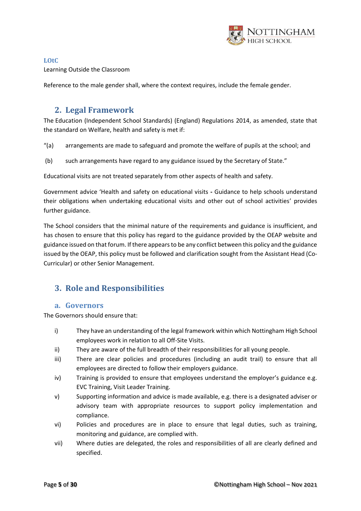

#### <span id="page-4-0"></span>**LOtC** Learning Outside the Classroom

<span id="page-4-1"></span>Reference to the male gender shall, where the context requires, include the female gender.

# **2. Legal Framework**

The Education (Independent School Standards) (England) Regulations 2014, as amended, state that the standard on Welfare, health and safety is met if:

"(a) arrangements are made to safeguard and promote the welfare of pupils at the school; and

(b) such arrangements have regard to any guidance issued by the Secretary of State."

Educational visits are not treated separately from other aspects of health and safety.

Government advice 'Health and safety on educational visits **-** Guidance to help schools understand their obligations when undertaking educational visits and other out of school activities' provides further guidance.

The School considers that the minimal nature of the requirements and guidance is insufficient, and has chosen to ensure that this policy has regard to the guidance provided by the OEAP website and guidance issued on that forum. If there appears to be any conflict between this policy and the guidance issued by the OEAP, this policy must be followed and clarification sought from the Assistant Head (Co-Curricular) or other Senior Management.

# <span id="page-4-2"></span>**3. Role and Responsibilities**

#### <span id="page-4-3"></span>**a. Governors**

The Governors should ensure that:

- i) They have an understanding of the legal framework within which Nottingham High School employees work in relation to all Off-Site Visits.
- ii) They are aware of the full breadth of their responsibilities for all young people.
- iii) There are clear policies and procedures (including an audit trail) to ensure that all employees are directed to follow their employers guidance.
- iv) Training is provided to ensure that employees understand the employer's guidance e.g. EVC Training, Visit Leader Training.
- v) Supporting information and advice is made available, e.g. there is a designated adviser or advisory team with appropriate resources to support policy implementation and compliance.
- vi) Policies and procedures are in place to ensure that legal duties, such as training, monitoring and guidance, are complied with.
- vii) Where duties are delegated, the roles and responsibilities of all are clearly defined and specified.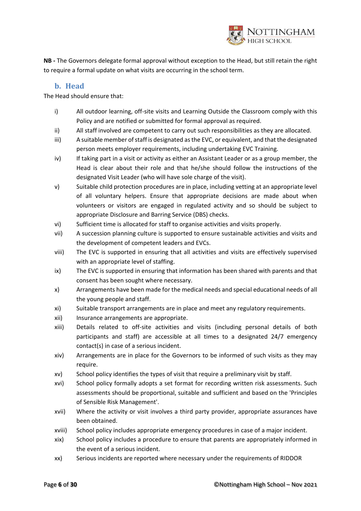

**NB -** The Governors delegate formal approval without exception to the Head, but still retain the right to require a formal update on what visits are occurring in the school term.

#### **b. Head**

<span id="page-5-0"></span>The Head should ensure that:

- i) All outdoor learning, off-site visits and Learning Outside the Classroom comply with this Policy and are notified or submitted for formal approval as required.
- ii) All staff involved are competent to carry out such responsibilities as they are allocated.
- iii) A suitable member of staff is designated as the EVC, or equivalent, and that the designated person meets employer requirements, including undertaking EVC Training.
- iv) If taking part in a visit or activity as either an Assistant Leader or as a group member, the Head is clear about their role and that he/she should follow the instructions of the designated Visit Leader (who will have sole charge of the visit).
- v) Suitable child protection procedures are in place, including vetting at an appropriate level of all voluntary helpers. Ensure that appropriate decisions are made about when volunteers or visitors are engaged in regulated activity and so should be subject to appropriate Disclosure and Barring Service (DBS) checks.
- vi) Sufficient time is allocated for staff to organise activities and visits properly.
- vii) A succession planning culture is supported to ensure sustainable activities and visits and the development of competent leaders and EVCs.
- viii) The EVC is supported in ensuring that all activities and visits are effectively supervised with an appropriate level of staffing.
- ix) The EVC is supported in ensuring that information has been shared with parents and that consent has been sought where necessary.
- x) Arrangements have been made for the medical needs and special educational needs of all the young people and staff.
- xi) Suitable transport arrangements are in place and meet any regulatory requirements.
- xii) Insurance arrangements are appropriate.
- xiii) Details related to off-site activities and visits (including personal details of both participants and staff) are accessible at all times to a designated 24/7 emergency contact(s) in case of a serious incident.
- xiv) Arrangements are in place for the Governors to be informed of such visits as they may require.
- xv) School policy identifies the types of visit that require a preliminary visit by staff.
- xvi) School policy formally adopts a set format for recording written risk assessments. Such assessments should be proportional, suitable and sufficient and based on the 'Principles of Sensible Risk Management'.
- xvii) Where the activity or visit involves a third party provider, appropriate assurances have been obtained.
- xviii) School policy includes appropriate emergency procedures in case of a major incident.
- xix) School policy includes a procedure to ensure that parents are appropriately informed in the event of a serious incident.
- xx) Serious incidents are reported where necessary under the requirements of RIDDOR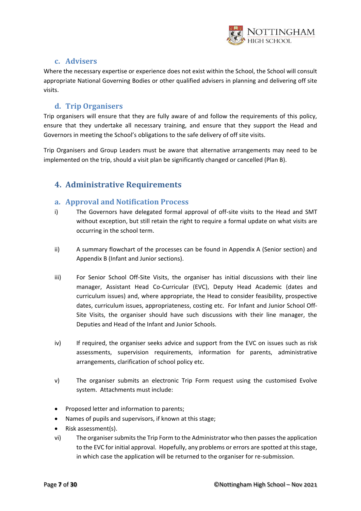

## **c. Advisers**

<span id="page-6-0"></span>Where the necessary expertise or experience does not exist within the School, the School will consult appropriate National Governing Bodies or other qualified advisers in planning and delivering off site visits.

## **d. Trip Organisers**

<span id="page-6-1"></span>Trip organisers will ensure that they are fully aware of and follow the requirements of this policy, ensure that they undertake all necessary training, and ensure that they support the Head and Governors in meeting the School's obligations to the safe delivery of off site visits.

Trip Organisers and Group Leaders must be aware that alternative arrangements may need to be implemented on the trip, should a visit plan be significantly changed or cancelled (Plan B).

# <span id="page-6-2"></span>**4. Administrative Requirements**

### <span id="page-6-3"></span>**a. Approval and Notification Process**

- i) The Governors have delegated formal approval of off-site visits to the Head and SMT without exception, but still retain the right to require a formal update on what visits are occurring in the school term.
- ii) A summary flowchart of the processes can be found in Appendix A (Senior section) and Appendix B (Infant and Junior sections).
- iii) For Senior School Off-Site Visits, the organiser has initial discussions with their line manager, Assistant Head Co-Curricular (EVC), Deputy Head Academic (dates and curriculum issues) and, where appropriate, the Head to consider feasibility, prospective dates, curriculum issues, appropriateness, costing etc. For Infant and Junior School Off-Site Visits, the organiser should have such discussions with their line manager, the Deputies and Head of the Infant and Junior Schools.
- iv) If required, the organiser seeks advice and support from the EVC on issues such as risk assessments, supervision requirements, information for parents, administrative arrangements, clarification of school policy etc.
- v) The organiser submits an electronic Trip Form request using the customised Evolve system. Attachments must include:
- Proposed letter and information to parents;
- Names of pupils and supervisors, if known at this stage;
- Risk assessment(s).
- vi) The organiser submits the Trip Form to the Administrator who then passes the application to the EVC for initial approval. Hopefully, any problems or errors are spotted at this stage, in which case the application will be returned to the organiser for re-submission.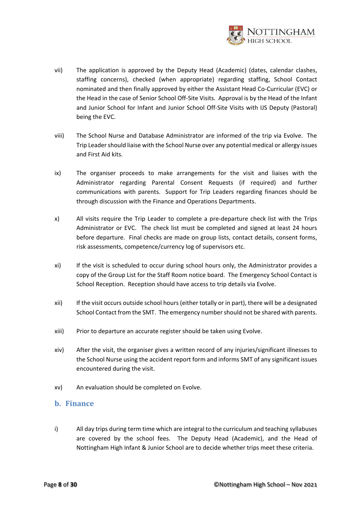

- vii) The application is approved by the Deputy Head (Academic) (dates, calendar clashes, staffing concerns), checked (when appropriate) regarding staffing, School Contact nominated and then finally approved by either the Assistant Head Co-Curricular (EVC) or the Head in the case of Senior School Off-Site Visits. Approval is by the Head of the Infant and Junior School for Infant and Junior School Off-Site Visits with IJS Deputy (Pastoral) being the EVC.
- viii) The School Nurse and Database Administrator are informed of the trip via Evolve. The Trip Leader should liaise with the School Nurse over any potential medical or allergy issues and First Aid kits.
- ix) The organiser proceeds to make arrangements for the visit and liaises with the Administrator regarding Parental Consent Requests (if required) and further communications with parents. Support for Trip Leaders regarding finances should be through discussion with the Finance and Operations Departments.
- x) All visits require the Trip Leader to complete a pre-departure check list with the Trips Administrator or EVC. The check list must be completed and signed at least 24 hours before departure. Final checks are made on group lists, contact details, consent forms, risk assessments, competence/currency log of supervisors etc.
- xi) If the visit is scheduled to occur during school hours only, the Administrator provides a copy of the Group List for the Staff Room notice board. The Emergency School Contact is School Reception. Reception should have access to trip details via Evolve.
- xii) If the visit occurs outside school hours (either totally or in part), there will be a designated School Contact from the SMT. The emergency number should not be shared with parents.
- xiii) Prior to departure an accurate register should be taken using Evolve.
- <span id="page-7-0"></span>xiv) After the visit, the organiser gives a written record of any injuries/significant illnesses to the School Nurse using the accident report form and informs SMT of any significant issues encountered during the visit.
- xv) An evaluation should be completed on Evolve.

#### **b. Finance**

i) All day trips during term time which are integral to the curriculum and teaching syllabuses are covered by the school fees. The Deputy Head (Academic), and the Head of Nottingham High Infant & Junior School are to decide whether trips meet these criteria.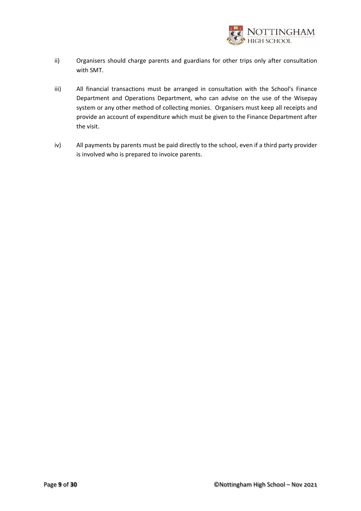

- ii) Organisers should charge parents and guardians for other trips only after consultation with SMT.
- iii) All financial transactions must be arranged in consultation with the School's Finance Department and Operations Department, who can advise on the use of the Wisepay system or any other method of collecting monies. Organisers must keep all receipts and provide an account of expenditure which must be given to the Finance Department after the visit.
- iv) All payments by parents must be paid directly to the school, even if a third party provider is involved who is prepared to invoice parents.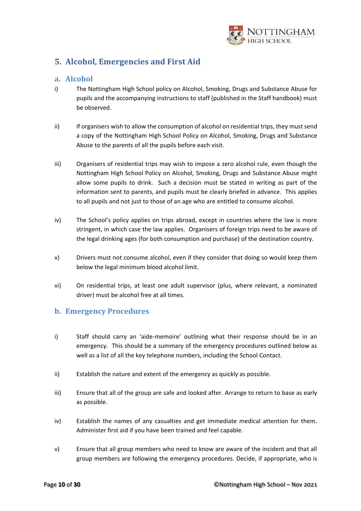

# <span id="page-9-0"></span>**5. Alcohol, Emergencies and First Aid**

## <span id="page-9-1"></span>**a. Alcohol**

- i) The Nottingham High School policy on Alcohol, Smoking, Drugs and Substance Abuse for pupils and the accompanying instructions to staff (published in the Staff handbook) must be observed.
- ii) If organisers wish to allow the consumption of alcohol on residential trips, they must send a copy of the Nottingham High School Policy on Alcohol, Smoking, Drugs and Substance Abuse to the parents of all the pupils before each visit.
- iii) Organisers of residential trips may wish to impose a zero alcohol rule, even though the Nottingham High School Policy on Alcohol, Smoking, Drugs and Substance Abuse might allow some pupils to drink. Such a decision must be stated in writing as part of the information sent to parents, and pupils must be clearly briefed in advance. This applies to all pupils and not just to those of an age who are entitled to consume alcohol.
- iv) The School's policy applies on trips abroad, except in countries where the law is more stringent, in which case the law applies. Organisers of foreign trips need to be aware of the legal drinking ages (for both consumption and purchase) of the destination country.
- v) Drivers must not consume alcohol, even if they consider that doing so would keep them below the legal minimum blood alcohol limit.
- vi) On residential trips, at least one adult supervisor (plus, where relevant, a nominated driver) must be alcohol free at all times.

## <span id="page-9-2"></span>**b. Emergency Procedures**

- i) Staff should carry an 'aide-memoire' outlining what their response should be in an emergency. This should be a summary of the emergency procedures outlined below as well as a list of all the key telephone numbers, including the School Contact.
- ii) Establish the nature and extent of the emergency as quickly as possible.
- iii) Ensure that all of the group are safe and looked after. Arrange to return to base as early as possible.
- iv) Establish the names of any casualties and get immediate medical attention for them. Administer first aid if you have been trained and feel capable.
- v) Ensure that all group members who need to know are aware of the incident and that all group members are following the emergency procedures. Decide, if appropriate, who is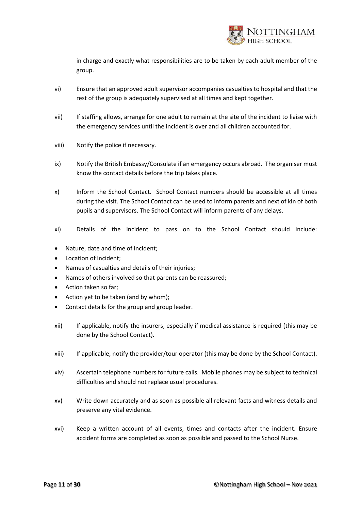

in charge and exactly what responsibilities are to be taken by each adult member of the group.

- vi) Ensure that an approved adult supervisor accompanies casualties to hospital and that the rest of the group is adequately supervised at all times and kept together.
- vii) If staffing allows, arrange for one adult to remain at the site of the incident to liaise with the emergency services until the incident is over and all children accounted for.
- viii) Notify the police if necessary.
- ix) Notify the British Embassy/Consulate if an emergency occurs abroad. The organiser must know the contact details before the trip takes place.
- x) Inform the School Contact. School Contact numbers should be accessible at all times during the visit. The School Contact can be used to inform parents and next of kin of both pupils and supervisors. The School Contact will inform parents of any delays.
- xi) Details of the incident to pass on to the School Contact should include:
- Nature, date and time of incident;
- Location of incident;
- Names of casualties and details of their injuries;
- Names of others involved so that parents can be reassured;
- Action taken so far;
- Action yet to be taken (and by whom);
- Contact details for the group and group leader.
- xii) If applicable, notify the insurers, especially if medical assistance is required (this may be done by the School Contact).
- xiii) If applicable, notify the provider/tour operator (this may be done by the School Contact).
- xiv) Ascertain telephone numbers for future calls. Mobile phones may be subject to technical difficulties and should not replace usual procedures.
- xv) Write down accurately and as soon as possible all relevant facts and witness details and preserve any vital evidence.
- xvi) Keep a written account of all events, times and contacts after the incident. Ensure accident forms are completed as soon as possible and passed to the School Nurse.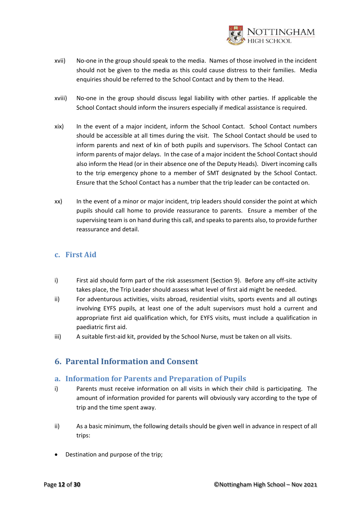

- xvii) No-one in the group should speak to the media. Names of those involved in the incident should not be given to the media as this could cause distress to their families. Media enquiries should be referred to the School Contact and by them to the Head.
- xviii) No-one in the group should discuss legal liability with other parties. If applicable the School Contact should inform the insurers especially if medical assistance is required.
- xix) In the event of a major incident, inform the School Contact. School Contact numbers should be accessible at all times during the visit. The School Contact should be used to inform parents and next of kin of both pupils and supervisors. The School Contact can inform parents of major delays. In the case of a major incident the School Contact should also inform the Head (or in their absence one of the Deputy Heads). Divert incoming calls to the trip emergency phone to a member of SMT designated by the School Contact. Ensure that the School Contact has a number that the trip leader can be contacted on.
- xx) In the event of a minor or major incident, trip leaders should consider the point at which pupils should call home to provide reassurance to parents. Ensure a member of the supervising team is on hand during this call, and speaks to parents also, to provide further reassurance and detail.

### <span id="page-11-0"></span>**c. First Aid**

- i) First aid should form part of the risk assessment (Section 9). Before any off-site activity takes place, the Trip Leader should assess what level of first aid might be needed.
- ii) For adventurous activities, visits abroad, residential visits, sports events and all outings involving EYFS pupils, at least one of the adult supervisors must hold a current and appropriate first aid qualification which, for EYFS visits, must include a qualification in paediatric first aid.
- iii) A suitable first-aid kit, provided by the School Nurse, must be taken on all visits.

# <span id="page-11-1"></span>**6. Parental Information and Consent**

#### <span id="page-11-2"></span>**a. Information for Parents and Preparation of Pupils**

- i) Parents must receive information on all visits in which their child is participating. The amount of information provided for parents will obviously vary according to the type of trip and the time spent away.
- ii) As a basic minimum, the following details should be given well in advance in respect of all trips:
- Destination and purpose of the trip;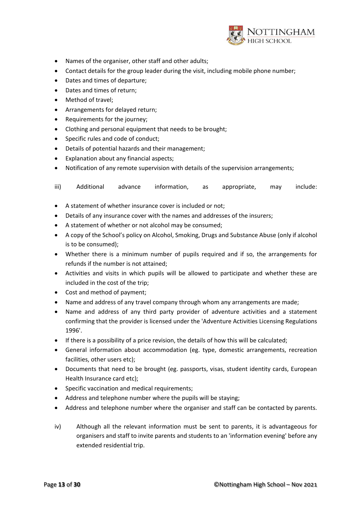

- Names of the organiser, other staff and other adults;
- Contact details for the group leader during the visit, including mobile phone number;
- Dates and times of departure;
- Dates and times of return;
- Method of travel;
- Arrangements for delayed return;
- Requirements for the journey;
- Clothing and personal equipment that needs to be brought;
- Specific rules and code of conduct;
- Details of potential hazards and their management;
- Explanation about any financial aspects;
- Notification of any remote supervision with details of the supervision arrangements;

iii) Additional advance information, as appropriate, may include:

- A statement of whether insurance cover is included or not;
- Details of any insurance cover with the names and addresses of the insurers;
- A statement of whether or not alcohol may be consumed;
- A copy of the School's policy on Alcohol, Smoking, Drugs and Substance Abuse (only if alcohol is to be consumed);
- Whether there is a minimum number of pupils required and if so, the arrangements for refunds if the number is not attained;
- Activities and visits in which pupils will be allowed to participate and whether these are included in the cost of the trip;
- Cost and method of payment;
- Name and address of any travel company through whom any arrangements are made;
- Name and address of any third party provider of adventure activities and a statement confirming that the provider is licensed under the 'Adventure Activities Licensing Regulations 1996'.
- If there is a possibility of a price revision, the details of how this will be calculated;
- General information about accommodation (eg. type, domestic arrangements, recreation facilities, other users etc);
- Documents that need to be brought (eg. passports, visas, student identity cards, European Health Insurance card etc);
- Specific vaccination and medical requirements;
- Address and telephone number where the pupils will be staying;
- Address and telephone number where the organiser and staff can be contacted by parents.
- iv) Although all the relevant information must be sent to parents, it is advantageous for organisers and staff to invite parents and students to an 'information evening' before any extended residential trip.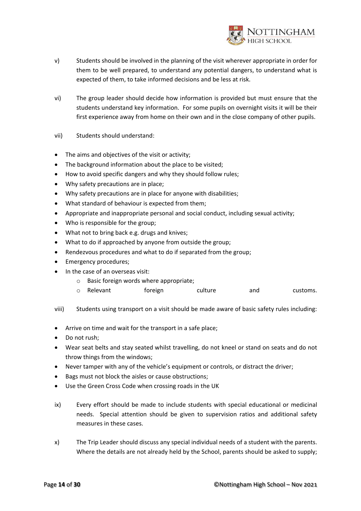

- v) Students should be involved in the planning of the visit wherever appropriate in order for them to be well prepared, to understand any potential dangers, to understand what is expected of them, to take informed decisions and be less at risk.
- vi) The group leader should decide how information is provided but must ensure that the students understand key information. For some pupils on overnight visits it will be their first experience away from home on their own and in the close company of other pupils.
- vii) Students should understand:
- The aims and objectives of the visit or activity;
- The background information about the place to be visited;
- How to avoid specific dangers and why they should follow rules;
- Why safety precautions are in place;
- Why safety precautions are in place for anyone with disabilities;
- What standard of behaviour is expected from them;
- Appropriate and inappropriate personal and social conduct, including sexual activity;
- Who is responsible for the group;
- What not to bring back e.g. drugs and knives;
- What to do if approached by anyone from outside the group;
- Rendezvous procedures and what to do if separated from the group;
- Emergency procedures;
- In the case of an overseas visit:
	- o Basic foreign words where appropriate;
	- o Relevant foreign culture and customs.
- viii) Students using transport on a visit should be made aware of basic safety rules including:
- Arrive on time and wait for the transport in a safe place;
- Do not rush;
- Wear seat belts and stay seated whilst travelling, do not kneel or stand on seats and do not throw things from the windows;
- Never tamper with any of the vehicle's equipment or controls, or distract the driver;
- Bags must not block the aisles or cause obstructions;
- Use the Green Cross Code when crossing roads in the UK
- ix) Every effort should be made to include students with special educational or medicinal needs. Special attention should be given to supervision ratios and additional safety measures in these cases.
- x) The Trip Leader should discuss any special individual needs of a student with the parents. Where the details are not already held by the School, parents should be asked to supply;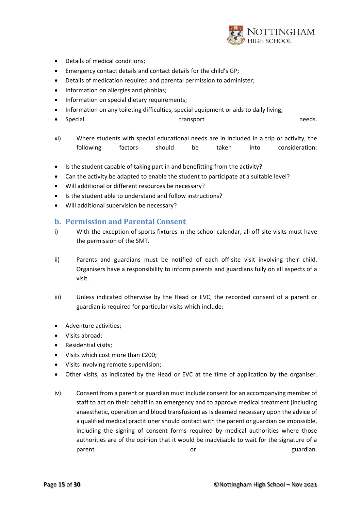

- Details of medical conditions;
- Emergency contact details and contact details for the child's GP;
- Details of medication required and parental permission to administer;
- Information on allergies and phobias;
- Information on special dietary requirements;
- Information on any toileting difficulties, special equipment or aids to daily living;
- Special and transport and transport and transport of the second second second second in the meeds.
- xi) Where students with special educational needs are in included in a trip or activity, the following factors should be taken into consideration:
- Is the student capable of taking part in and benefitting from the activity?
- Can the activity be adapted to enable the student to participate at a suitable level?
- Will additional or different resources be necessary?
- Is the student able to understand and follow instructions?
- Will additional supervision be necessary?

#### <span id="page-14-0"></span>**b. Permission and Parental Consent**

- i) With the exception of sports fixtures in the school calendar, all off-site visits must have the permission of the SMT.
- ii) Parents and guardians must be notified of each off-site visit involving their child. Organisers have a responsibility to inform parents and guardians fully on all aspects of a visit.
- iii) Unless indicated otherwise by the Head or EVC, the recorded consent of a parent or guardian is required for particular visits which include:
- Adventure activities;
- Visits abroad;
- Residential visits;
- Visits which cost more than £200;
- Visits involving remote supervision;
- Other visits, as indicated by the Head or EVC at the time of application by the organiser.
- iv) Consent from a parent or guardian must include consent for an accompanying member of staff to act on their behalf in an emergency and to approve medical treatment (including anaesthetic, operation and blood transfusion) as is deemed necessary upon the advice of a qualified medical practitioner should contact with the parent or guardian be impossible, including the signing of consent forms required by medical authorities where those authorities are of the opinion that it would be inadvisable to wait for the signature of a parent **or** and or contract or contract or contract or contract or contract or contract  $\alpha$  guardian.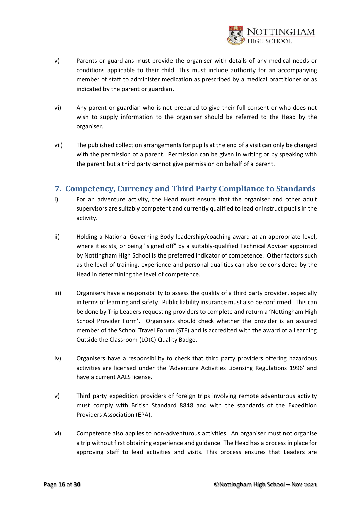

- v) Parents or guardians must provide the organiser with details of any medical needs or conditions applicable to their child. This must include authority for an accompanying member of staff to administer medication as prescribed by a medical practitioner or as indicated by the parent or guardian.
- vi) Any parent or guardian who is not prepared to give their full consent or who does not wish to supply information to the organiser should be referred to the Head by the organiser.
- vii) The published collection arrangements for pupils at the end of a visit can only be changed with the permission of a parent. Permission can be given in writing or by speaking with the parent but a third party cannot give permission on behalf of a parent.

# <span id="page-15-0"></span>**7. Competency, Currency and Third Party Compliance to Standards**

- i) For an adventure activity, the Head must ensure that the organiser and other adult supervisors are suitably competent and currently qualified to lead or instruct pupils in the activity.
- ii) Holding a National Governing Body leadership/coaching award at an appropriate level, where it exists, or being "signed off" by a suitably-qualified Technical Adviser appointed by Nottingham High School is the preferred indicator of competence. Other factors such as the level of training, experience and personal qualities can also be considered by the Head in determining the level of competence.
- iii) Organisers have a responsibility to assess the quality of a third party provider, especially in terms of learning and safety. Public liability insurance must also be confirmed. This can be done by Trip Leaders requesting providers to complete and return a 'Nottingham High School Provider Form'. Organisers should check whether the provider is an assured member of the School Travel Forum (STF) and is accredited with the award of a Learning Outside the Classroom (LOtC) Quality Badge.
- iv) Organisers have a responsibility to check that third party providers offering hazardous activities are licensed under the 'Adventure Activities Licensing Regulations 1996' and have a current AALS license.
- v) Third party expedition providers of foreign trips involving remote adventurous activity must comply with British Standard 8848 and with the standards of the Expedition Providers Association (EPA).
- vi) Competence also applies to non-adventurous activities. An organiser must not organise a trip without first obtaining experience and guidance. The Head has a process in place for approving staff to lead activities and visits. This process ensures that Leaders are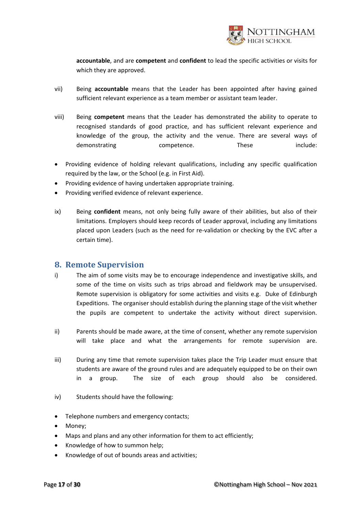

**accountable**, and are **competent** and **confident** to lead the specific activities or visits for which they are approved.

- vii) Being **accountable** means that the Leader has been appointed after having gained sufficient relevant experience as a team member or assistant team leader.
- viii) Being **competent** means that the Leader has demonstrated the ability to operate to recognised standards of good practice, and has sufficient relevant experience and knowledge of the group, the activity and the venue. There are several ways of demonstrating competence. These include:
- Providing evidence of holding relevant qualifications, including any specific qualification required by the law, or the School (e.g. in First Aid).
- Providing evidence of having undertaken appropriate training.
- Providing verified evidence of relevant experience.
- ix) Being **confident** means, not only being fully aware of their abilities, but also of their limitations. Employers should keep records of Leader approval, including any limitations placed upon Leaders (such as the need for re-validation or checking by the EVC after a certain time).

#### <span id="page-16-0"></span>**8. Remote Supervision**

- i) The aim of some visits may be to encourage independence and investigative skills, and some of the time on visits such as trips abroad and fieldwork may be unsupervised. Remote supervision is obligatory for some activities and visits e.g. Duke of Edinburgh Expeditions. The organiser should establish during the planning stage of the visit whether the pupils are competent to undertake the activity without direct supervision.
- ii) Parents should be made aware, at the time of consent, whether any remote supervision will take place and what the arrangements for remote supervision are.
- iii) During any time that remote supervision takes place the Trip Leader must ensure that students are aware of the ground rules and are adequately equipped to be on their own in a group. The size of each group should also be considered.
- iv) Students should have the following:
- Telephone numbers and emergency contacts;
- Money;
- Maps and plans and any other information for them to act efficiently;
- Knowledge of how to summon help;
- Knowledge of out of bounds areas and activities;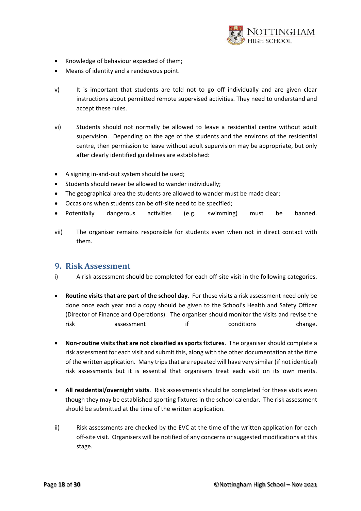

- Knowledge of behaviour expected of them;
- Means of identity and a rendezvous point.
- v) It is important that students are told not to go off individually and are given clear instructions about permitted remote supervised activities. They need to understand and accept these rules.
- vi) Students should not normally be allowed to leave a residential centre without adult supervision. Depending on the age of the students and the environs of the residential centre, then permission to leave without adult supervision may be appropriate, but only after clearly identified guidelines are established:
- A signing in-and-out system should be used;
- Students should never be allowed to wander individually;
- The geographical area the students are allowed to wander must be made clear;
- Occasions when students can be off-site need to be specified;
- Potentially dangerous activities (e.g. swimming) must be banned.
- vii) The organiser remains responsible for students even when not in direct contact with them.

#### <span id="page-17-0"></span>**9. Risk Assessment**

- i) A risk assessment should be completed for each off-site visit in the following categories.
- **Routine visits that are part of the school day**. For these visits a risk assessment need only be done once each year and a copy should be given to the School's Health and Safety Officer (Director of Finance and Operations). The organiser should monitor the visits and revise the risk assessment if conditions change.
- **Non-routine visits that are not classified as sports fixtures**. The organiser should complete a risk assessment for each visit and submit this, along with the other documentation at the time of the written application. Many trips that are repeated will have very similar (if not identical) risk assessments but it is essential that organisers treat each visit on its own merits.
- **All residential/overnight visits**. Risk assessments should be completed for these visits even though they may be established sporting fixtures in the school calendar. The risk assessment should be submitted at the time of the written application.
- ii) Risk assessments are checked by the EVC at the time of the written application for each off-site visit. Organisers will be notified of any concerns or suggested modifications at this stage.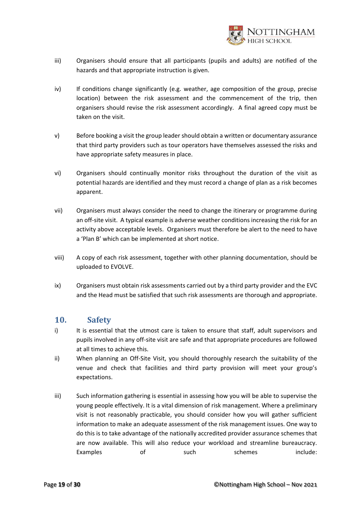

- iii) Organisers should ensure that all participants (pupils and adults) are notified of the hazards and that appropriate instruction is given.
- iv) If conditions change significantly (e.g. weather, age composition of the group, precise location) between the risk assessment and the commencement of the trip, then organisers should revise the risk assessment accordingly. A final agreed copy must be taken on the visit.
- v) Before booking a visit the group leader should obtain a written or documentary assurance that third party providers such as tour operators have themselves assessed the risks and have appropriate safety measures in place.
- vi) Organisers should continually monitor risks throughout the duration of the visit as potential hazards are identified and they must record a change of plan as a risk becomes apparent.
- vii) Organisers must always consider the need to change the itinerary or programme during an off-site visit. A typical example is adverse weather conditions increasing the risk for an activity above acceptable levels. Organisers must therefore be alert to the need to have a 'Plan B' which can be implemented at short notice.
- viii) A copy of each risk assessment, together with other planning documentation, should be uploaded to EVOLVE.
- ix) Organisers must obtain risk assessments carried out by a third party provider and the EVC and the Head must be satisfied that such risk assessments are thorough and appropriate.

# <span id="page-18-0"></span>**10. Safety**

- i) It is essential that the utmost care is taken to ensure that staff, adult supervisors and pupils involved in any off-site visit are safe and that appropriate procedures are followed at all times to achieve this.
- ii) When planning an Off-Site Visit, you should thoroughly research the suitability of the venue and check that facilities and third party provision will meet your group's expectations.
- iii) Such information gathering is essential in assessing how you will be able to supervise the young people effectively. It is a vital dimension of risk management. Where a preliminary visit is not reasonably practicable, you should consider how you will gather sufficient information to make an adequate assessment of the risk management issues. One way to do this is to take advantage of the nationally accredited provider assurance schemes that are now available. This will also reduce your workload and streamline bureaucracy. Examples of such streamers include: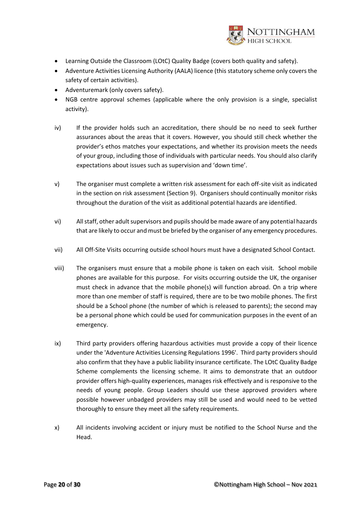

- Learning Outside the Classroom (LOtC) Quality Badge (covers both quality and safety).
- Adventure Activities Licensing Authority (AALA) licence (this statutory scheme only covers the safety of certain activities).
- Adventuremark (only covers safety).
- NGB centre approval schemes (applicable where the only provision is a single, specialist activity).
- iv) If the provider holds such an accreditation, there should be no need to seek further assurances about the areas that it covers. However, you should still check whether the provider's ethos matches your expectations, and whether its provision meets the needs of your group, including those of individuals with particular needs. You should also clarify expectations about issues such as supervision and 'down time'.
- v) The organiser must complete a written risk assessment for each off-site visit as indicated in the section on risk assessment (Section 9). Organisers should continually monitor risks throughout the duration of the visit as additional potential hazards are identified.
- vi) All staff, other adult supervisors and pupils should be made aware of any potential hazards that are likely to occur and must be briefed by the organiser of any emergency procedures.
- vii) All Off-Site Visits occurring outside school hours must have a designated School Contact.
- viii) The organisers must ensure that a mobile phone is taken on each visit. School mobile phones are available for this purpose. For visits occurring outside the UK, the organiser must check in advance that the mobile phone(s) will function abroad. On a trip where more than one member of staff is required, there are to be two mobile phones. The first should be a School phone (the number of which is released to parents); the second may be a personal phone which could be used for communication purposes in the event of an emergency.
- ix) Third party providers offering hazardous activities must provide a copy of their licence under the 'Adventure Activities Licensing Regulations 1996'. Third party providers should also confirm that they have a public liability insurance certificate. The LOtC Quality Badge Scheme complements the licensing scheme. It aims to demonstrate that an outdoor provider offers high-quality experiences, manages risk effectively and is responsive to the needs of young people. Group Leaders should use these approved providers where possible however unbadged providers may still be used and would need to be vetted thoroughly to ensure they meet all the safety requirements.
- x) All incidents involving accident or injury must be notified to the School Nurse and the Head.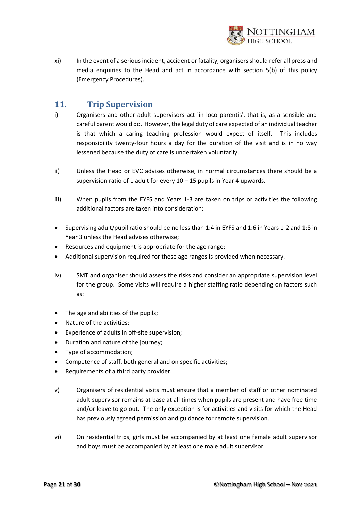

xi) In the event of a serious incident, accident or fatality, organisers should refer all press and media enquiries to the Head and act in accordance with section 5(b) of this policy (Emergency Procedures).

# <span id="page-20-0"></span>**11. Trip Supervision**

- i) Organisers and other adult supervisors act 'in loco parentis', that is, as a sensible and careful parent would do. However, the legal duty of care expected of an individual teacher is that which a caring teaching profession would expect of itself. This includes responsibility twenty-four hours a day for the duration of the visit and is in no way lessened because the duty of care is undertaken voluntarily.
- ii) Unless the Head or EVC advises otherwise, in normal circumstances there should be a supervision ratio of 1 adult for every  $10 - 15$  pupils in Year 4 upwards.
- iii) When pupils from the EYFS and Years 1-3 are taken on trips or activities the following additional factors are taken into consideration:
- Supervising adult/pupil ratio should be no less than 1:4 in EYFS and 1:6 in Years 1-2 and 1:8 in Year 3 unless the Head advises otherwise;
- Resources and equipment is appropriate for the age range;
- Additional supervision required for these age ranges is provided when necessary.
- iv) SMT and organiser should assess the risks and consider an appropriate supervision level for the group. Some visits will require a higher staffing ratio depending on factors such as:
- The age and abilities of the pupils;
- Nature of the activities;
- Experience of adults in off-site supervision;
- Duration and nature of the journey;
- Type of accommodation;
- Competence of staff, both general and on specific activities;
- Requirements of a third party provider.
- v) Organisers of residential visits must ensure that a member of staff or other nominated adult supervisor remains at base at all times when pupils are present and have free time and/or leave to go out. The only exception is for activities and visits for which the Head has previously agreed permission and guidance for remote supervision.
- vi) On residential trips, girls must be accompanied by at least one female adult supervisor and boys must be accompanied by at least one male adult supervisor.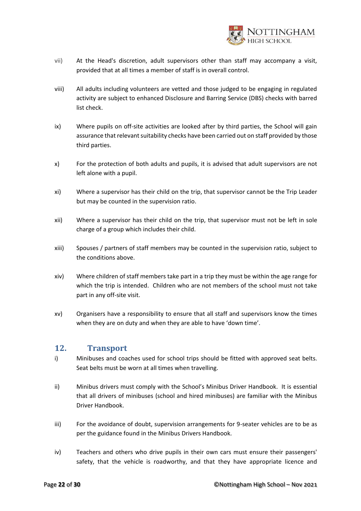

- vii) At the Head's discretion, adult supervisors other than staff may accompany a visit, provided that at all times a member of staff is in overall control.
- viii) All adults including volunteers are vetted and those judged to be engaging in regulated activity are subject to enhanced Disclosure and Barring Service (DBS) checks with barred list check.
- ix) Where pupils on off-site activities are looked after by third parties, the School will gain assurance that relevant suitability checks have been carried out on staff provided by those third parties.
- x) For the protection of both adults and pupils, it is advised that adult supervisors are not left alone with a pupil.
- xi) Where a supervisor has their child on the trip, that supervisor cannot be the Trip Leader but may be counted in the supervision ratio.
- xii) Where a supervisor has their child on the trip, that supervisor must not be left in sole charge of a group which includes their child.
- xiii) Spouses / partners of staff members may be counted in the supervision ratio, subject to the conditions above.
- xiv) Where children of staff members take part in a trip they must be within the age range for which the trip is intended. Children who are not members of the school must not take part in any off-site visit.
- xv) Organisers have a responsibility to ensure that all staff and supervisors know the times when they are on duty and when they are able to have 'down time'.

## <span id="page-21-0"></span>**12. Transport**

- i) Minibuses and coaches used for school trips should be fitted with approved seat belts. Seat belts must be worn at all times when travelling.
- ii) Minibus drivers must comply with the School's Minibus Driver Handbook. It is essential that all drivers of minibuses (school and hired minibuses) are familiar with the Minibus Driver Handbook.
- iii) For the avoidance of doubt, supervision arrangements for 9-seater vehicles are to be as per the guidance found in the Minibus Drivers Handbook.
- iv) Teachers and others who drive pupils in their own cars must ensure their passengers' safety, that the vehicle is roadworthy, and that they have appropriate licence and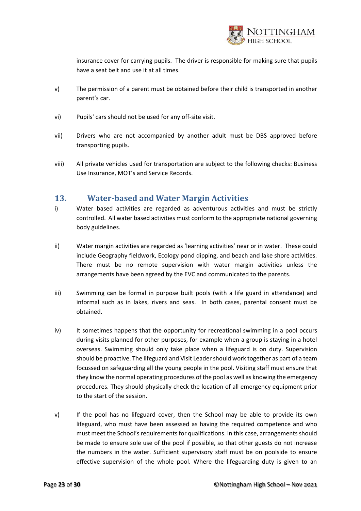

insurance cover for carrying pupils. The driver is responsible for making sure that pupils have a seat belt and use it at all times.

- v) The permission of a parent must be obtained before their child is transported in another parent's car.
- vi) Pupils' cars should not be used for any off-site visit.
- vii) Drivers who are not accompanied by another adult must be DBS approved before transporting pupils.
- viii) All private vehicles used for transportation are subject to the following checks: Business Use Insurance, MOT's and Service Records.

# <span id="page-22-0"></span>**13. Water-based and Water Margin Activities**

- i) Water based activities are regarded as adventurous activities and must be strictly controlled. All water based activities must conform to the appropriate national governing body guidelines.
- ii) Water margin activities are regarded as 'learning activities' near or in water. These could include Geography fieldwork, Ecology pond dipping, and beach and lake shore activities. There must be no remote supervision with water margin activities unless the arrangements have been agreed by the EVC and communicated to the parents.
- iii) Swimming can be formal in purpose built pools (with a life guard in attendance) and informal such as in lakes, rivers and seas. In both cases, parental consent must be obtained.
- iv) It sometimes happens that the opportunity for recreational swimming in a pool occurs during visits planned for other purposes, for example when a group is staying in a hotel overseas. Swimming should only take place when a lifeguard is on duty. Supervision should be proactive. The lifeguard and Visit Leader should work together as part of a team focussed on safeguarding all the young people in the pool. Visiting staff must ensure that they know the normal operating procedures of the pool as well as knowing the emergency procedures. They should physically check the location of all emergency equipment prior to the start of the session.
- v) If the pool has no lifeguard cover, then the School may be able to provide its own lifeguard, who must have been assessed as having the required competence and who must meet the School's requirements for qualifications. In this case, arrangements should be made to ensure sole use of the pool if possible, so that other guests do not increase the numbers in the water. Sufficient supervisory staff must be on poolside to ensure effective supervision of the whole pool. Where the lifeguarding duty is given to an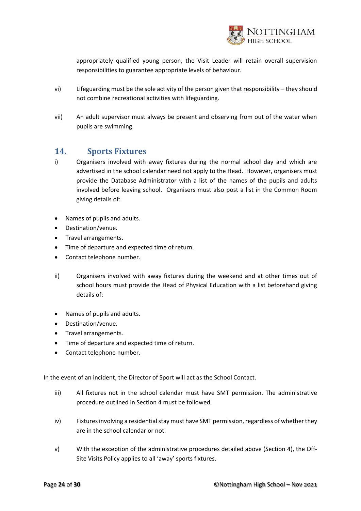

appropriately qualified young person, the Visit Leader will retain overall supervision responsibilities to guarantee appropriate levels of behaviour.

- vi) Lifeguarding must be the sole activity of the person given that responsibility they should not combine recreational activities with lifeguarding.
- vii) An adult supervisor must always be present and observing from out of the water when pupils are swimming.

# <span id="page-23-0"></span>**14. Sports Fixtures**

- i) Organisers involved with away fixtures during the normal school day and which are advertised in the school calendar need not apply to the Head. However, organisers must provide the Database Administrator with a list of the names of the pupils and adults involved before leaving school. Organisers must also post a list in the Common Room giving details of:
- Names of pupils and adults.
- Destination/venue.
- Travel arrangements.
- Time of departure and expected time of return.
- Contact telephone number.
- ii) Organisers involved with away fixtures during the weekend and at other times out of school hours must provide the Head of Physical Education with a list beforehand giving details of:
- Names of pupils and adults.
- Destination/venue.
- Travel arrangements.
- Time of departure and expected time of return.
- Contact telephone number.

In the event of an incident, the Director of Sport will act as the School Contact.

- iii) All fixtures not in the school calendar must have SMT permission. The administrative procedure outlined in Section 4 must be followed.
- iv) Fixtures involving a residential stay must have SMT permission, regardless of whether they are in the school calendar or not.
- v) With the exception of the administrative procedures detailed above (Section 4), the Off-Site Visits Policy applies to all 'away' sports fixtures.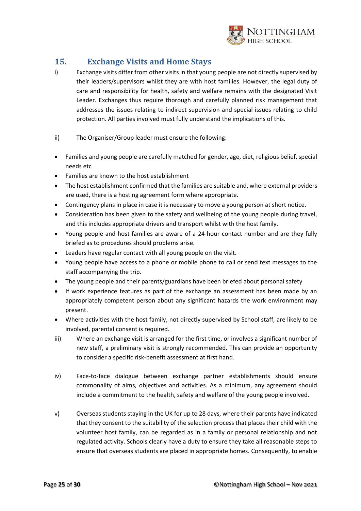

# <span id="page-24-0"></span>**15. Exchange Visits and Home Stays**

- i) Exchange visits differ from other visits in that young people are not directly supervised by their leaders/supervisors whilst they are with host families. However, the legal duty of care and responsibility for health, safety and welfare remains with the designated Visit Leader. Exchanges thus require thorough and carefully planned risk management that addresses the issues relating to indirect supervision and special issues relating to child protection. All parties involved must fully understand the implications of this.
- ii) The Organiser/Group leader must ensure the following:
- Families and young people are carefully matched for gender, age, diet, religious belief, special needs etc
- Families are known to the host establishment
- The host establishment confirmed that the families are suitable and, where external providers are used, there is a hosting agreement form where appropriate.
- Contingency plans in place in case it is necessary to move a young person at short notice.
- Consideration has been given to the safety and wellbeing of the young people during travel, and this includes appropriate drivers and transport whilst with the host family.
- Young people and host families are aware of a 24-hour contact number and are they fully briefed as to procedures should problems arise.
- Leaders have regular contact with all young people on the visit.
- Young people have access to a phone or mobile phone to call or send text messages to the staff accompanying the trip.
- The young people and their parents/guardians have been briefed about personal safety
- If work experience features as part of the exchange an assessment has been made by an appropriately competent person about any significant hazards the work environment may present.
- Where activities with the host family, not directly supervised by School staff, are likely to be involved, parental consent is required.
- iii) Where an exchange visit is arranged for the first time, or involves a significant number of new staff, a preliminary visit is strongly recommended. This can provide an opportunity to consider a specific risk-benefit assessment at first hand.
- iv) Face-to-face dialogue between exchange partner establishments should ensure commonality of aims, objectives and activities. As a minimum, any agreement should include a commitment to the health, safety and welfare of the young people involved.
- v) Overseas students staying in the UK for up to 28 days, where their parents have indicated that they consent to the suitability of the selection process that places their child with the volunteer host family, can be regarded as in a family or personal relationship and not regulated activity. Schools clearly have a duty to ensure they take all reasonable steps to ensure that overseas students are placed in appropriate homes. Consequently, to enable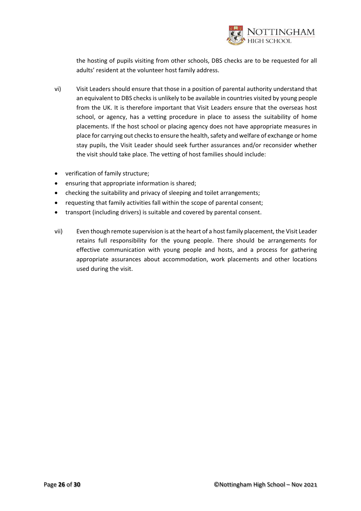

the hosting of pupils visiting from other schools, DBS checks are to be requested for all adults' resident at the volunteer host family address.

- vi) Visit Leaders should ensure that those in a position of parental authority understand that an equivalent to DBS checks is unlikely to be available in countries visited by young people from the UK. It is therefore important that Visit Leaders ensure that the overseas host school, or agency, has a vetting procedure in place to assess the suitability of home placements. If the host school or placing agency does not have appropriate measures in place for carrying out checks to ensure the health, safety and welfare of exchange or home stay pupils, the Visit Leader should seek further assurances and/or reconsider whether the visit should take place. The vetting of host families should include:
- verification of family structure;
- ensuring that appropriate information is shared;
- checking the suitability and privacy of sleeping and toilet arrangements;
- requesting that family activities fall within the scope of parental consent;
- transport (including drivers) is suitable and covered by parental consent.
- vii) Even though remote supervision is at the heart of a host family placement, the Visit Leader retains full responsibility for the young people. There should be arrangements for effective communication with young people and hosts, and a process for gathering appropriate assurances about accommodation, work placements and other locations used during the visit.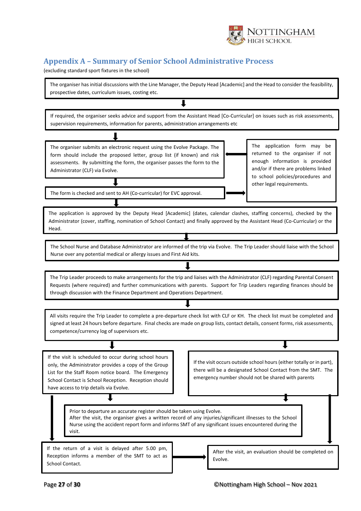

# <span id="page-26-0"></span>**Appendix A – Summary of Senior School Administrative Process**

(excluding standard sport fixtures in the school)



┸

If required, the organiser seeks advice and support from the Assistant Head [Co-Curricular] on issues such as risk assessments, supervision requirements, information for parents, administration arrangements etc

The organiser submits an electronic request using the Evolve Package. The form should include the proposed letter, group list (if known) and risk assessments. By submitting the form, the organiser passes the form to the Administrator (CLF) via Evolve.

The application form may be returned to the organiser if not enough information is provided and/or if there are problems linked to school policies/procedures and other legal requirements.

The form is checked and sent to AH (Co-curricular) for EVC approval.

The application is approved by the Deputy Head [Academic] (dates, calendar clashes, staffing concerns), checked by the Administrator (cover, staffing, nomination of School Contact) and finally approved by the Assistant Head (Co-Curricular) or the Head.

The School Nurse and Database Administrator are informed of the trip via Evolve. The Trip Leader should liaise with the School Nurse over any potential medical or allergy issues and First Aid kits.

The Trip Leader proceeds to make arrangements for the trip and liaises with the Administrator (CLF) regarding Parental Consent Requests (where required) and further communications with parents. Support for Trip Leaders regarding finances should be through discussion with the Finance Department and Operations Department.

All visits require the Trip Leader to complete a pre-departure check list with CLF or KH. The check list must be completed and signed at least 24 hours before departure. Final checks are made on group lists, contact details, consent forms, risk assessments, competence/currency log of supervisors etc.

If the visit is scheduled to occur during school hours only, the Administrator provides a copy of the Group List for the Staff Room notice board. The Emergency School Contact is School Reception. Reception should have access to trip details via Evolve.

If the visit occurs outside school hours (either totally or in part), there will be a designated School Contact from the SMT. The emergency number should not be shared with parents

Prior to departure an accurate register should be taken using Evolve. After the visit, the organiser gives a written record of any injuries/significant illnesses to the School Nurse using the accident report form and informs SMT of any significant issues encountered during the visit.

If the return of a visit is delayed after 5.00 pm, Reception informs a member of the SMT to act as School Contact. After the visit, an evaluation should be completed on Evolve.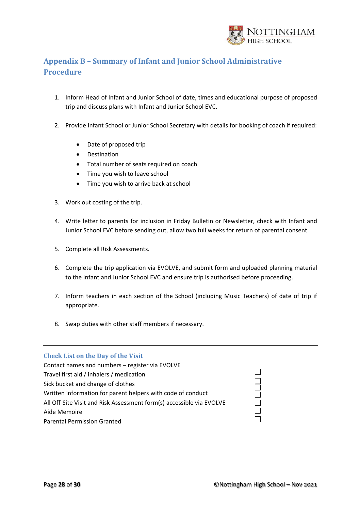

# <span id="page-27-0"></span>**Appendix B – Summary of Infant and Junior School Administrative Procedure**

- 1. Inform Head of Infant and Junior School of date, times and educational purpose of proposed trip and discuss plans with Infant and Junior School EVC.
- 2. Provide Infant School or Junior School Secretary with details for booking of coach if required:
	- Date of proposed trip
	- Destination
	- Total number of seats required on coach
	- Time you wish to leave school
	- Time you wish to arrive back at school
- 3. Work out costing of the trip.
- 4. Write letter to parents for inclusion in Friday Bulletin or Newsletter, check with Infant and Junior School EVC before sending out, allow two full weeks for return of parental consent.
- 5. Complete all Risk Assessments.
- 6. Complete the trip application via EVOLVE, and submit form and uploaded planning material to the Infant and Junior School EVC and ensure trip is authorised before proceeding.
- 7. Inform teachers in each section of the School (including Music Teachers) of date of trip if appropriate.
- 8. Swap duties with other staff members if necessary.

#### <span id="page-27-1"></span>**Check List on the Day of the Visit**

| Contact names and numbers - register via EVOLVE                      |
|----------------------------------------------------------------------|
| Travel first aid / inhalers / medication                             |
| Sick bucket and change of clothes                                    |
| Written information for parent helpers with code of conduct          |
| All Off-Site Visit and Risk Assessment form(s) accessible via EVOLVE |
| Aide Memoire                                                         |
| <b>Parental Permission Granted</b>                                   |

 $\Box$ 

DOODO

 $\Box$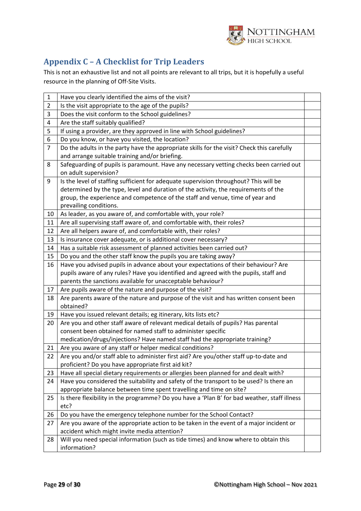

# <span id="page-28-0"></span>**Appendix C – A Checklist for Trip Leaders**

This is not an exhaustive list and not all points are relevant to all trips, but it is hopefully a useful resource in the planning of Off-Site Visits.

| $\mathbf{1}$   | Have you clearly identified the aims of the visit?                                           |  |
|----------------|----------------------------------------------------------------------------------------------|--|
| $\overline{2}$ | Is the visit appropriate to the age of the pupils?                                           |  |
| 3              | Does the visit conform to the School guidelines?                                             |  |
| 4              | Are the staff suitably qualified?                                                            |  |
| 5              | If using a provider, are they approved in line with School guidelines?                       |  |
| 6              | Do you know, or have you visited, the location?                                              |  |
| 7              | Do the adults in the party have the appropriate skills for the visit? Check this carefully   |  |
|                | and arrange suitable training and/or briefing.                                               |  |
| 8              | Safeguarding of pupils is paramount. Have any necessary vetting checks been carried out      |  |
|                | on adult supervision?                                                                        |  |
| 9              | Is the level of staffing sufficient for adequate supervision throughout? This will be        |  |
|                | determined by the type, level and duration of the activity, the requirements of the          |  |
|                | group, the experience and competence of the staff and venue, time of year and                |  |
|                | prevailing conditions.                                                                       |  |
| 10             | As leader, as you aware of, and comfortable with, your role?                                 |  |
| 11             | Are all supervising staff aware of, and comfortable with, their roles?                       |  |
| 12             | Are all helpers aware of, and comfortable with, their roles?                                 |  |
| 13             | Is insurance cover adequate, or is additional cover necessary?                               |  |
| 14             | Has a suitable risk assessment of planned activities been carried out?                       |  |
| 15             | Do you and the other staff know the pupils you are taking away?                              |  |
| 16             | Have you advised pupils in advance about your expectations of their behaviour? Are           |  |
|                | pupils aware of any rules? Have you identified and agreed with the pupils, staff and         |  |
|                | parents the sanctions available for unacceptable behaviour?                                  |  |
| 17             | Are pupils aware of the nature and purpose of the visit?                                     |  |
| 18             | Are parents aware of the nature and purpose of the visit and has written consent been        |  |
|                | obtained?                                                                                    |  |
| 19             | Have you issued relevant details; eg itinerary, kits lists etc?                              |  |
| 20             | Are you and other staff aware of relevant medical details of pupils? Has parental            |  |
|                | consent been obtained for named staff to administer specific                                 |  |
|                | medication/drugs/injections? Have named staff had the appropriate training?                  |  |
| 21             | Are you aware of any staff or helper medical conditions?                                     |  |
| 22             | Are you and/or staff able to administer first aid? Are you/other staff up-to-date and        |  |
|                | proficient? Do you have appropriate first aid kit?                                           |  |
| 23             | Have all special dietary requirements or allergies been planned for and dealt with?          |  |
| 24             | Have you considered the suitability and safety of the transport to be used? Is there an      |  |
|                | appropriate balance between time spent travelling and time on site?                          |  |
| 25             | Is there flexibility in the programme? Do you have a 'Plan B' for bad weather, staff illness |  |
|                | etc?                                                                                         |  |
| 26             | Do you have the emergency telephone number for the School Contact?                           |  |
| 27             | Are you aware of the appropriate action to be taken in the event of a major incident or      |  |
|                | accident which might invite media attention?                                                 |  |
| 28             | Will you need special information (such as tide times) and know where to obtain this         |  |
|                | information?                                                                                 |  |